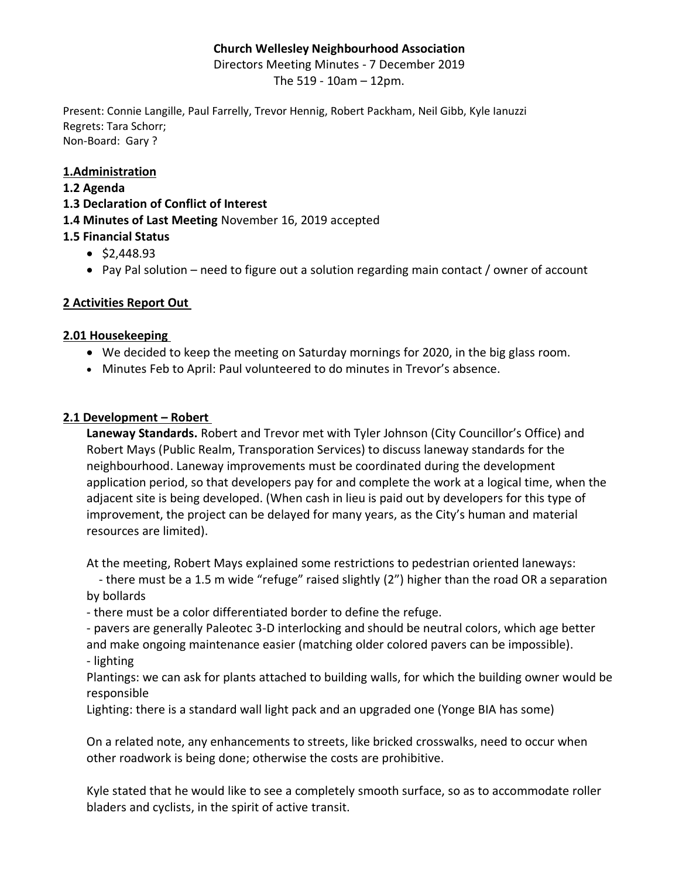### **Church Wellesley Neighbourhood Association**

Directors Meeting Minutes - 7 December 2019

The 519 - 10am – 12pm.

Present: Connie Langille, Paul Farrelly, Trevor Hennig, Robert Packham, Neil Gibb, Kyle Ianuzzi Regrets: Tara Schorr; Non-Board: Gary ?

### **1.Administration**

### **1.2 Agenda**

**1.3 Declaration of Conflict of Interest**

**1.4 Minutes of Last Meeting** November 16, 2019 accepted

# **1.5 Financial Status**

- \$2,448.93
- Pay Pal solution need to figure out a solution regarding main contact / owner of account

# **2 Activities Report Out**

### **2.01 Housekeeping**

- We decided to keep the meeting on Saturday mornings for 2020, in the big glass room.
- Minutes Feb to April: Paul volunteered to do minutes in Trevor's absence.

### **2.1 Development – Robert**

**Laneway Standards.** Robert and Trevor met with Tyler Johnson (City Councillor's Office) and Robert Mays (Public Realm, Transporation Services) to discuss laneway standards for the neighbourhood. Laneway improvements must be coordinated during the development application period, so that developers pay for and complete the work at a logical time, when the adjacent site is being developed. (When cash in lieu is paid out by developers for this type of improvement, the project can be delayed for many years, as the City's human and material resources are limited).

At the meeting, Robert Mays explained some restrictions to pedestrian oriented laneways:

 - there must be a 1.5 m wide "refuge" raised slightly (2") higher than the road OR a separation by bollards

- there must be a color differentiated border to define the refuge.

- pavers are generally Paleotec 3-D interlocking and should be neutral colors, which age better and make ongoing maintenance easier (matching older colored pavers can be impossible). - lighting

Plantings: we can ask for plants attached to building walls, for which the building owner would be responsible

Lighting: there is a standard wall light pack and an upgraded one (Yonge BIA has some)

On a related note, any enhancements to streets, like bricked crosswalks, need to occur when other roadwork is being done; otherwise the costs are prohibitive.

Kyle stated that he would like to see a completely smooth surface, so as to accommodate roller bladers and cyclists, in the spirit of active transit.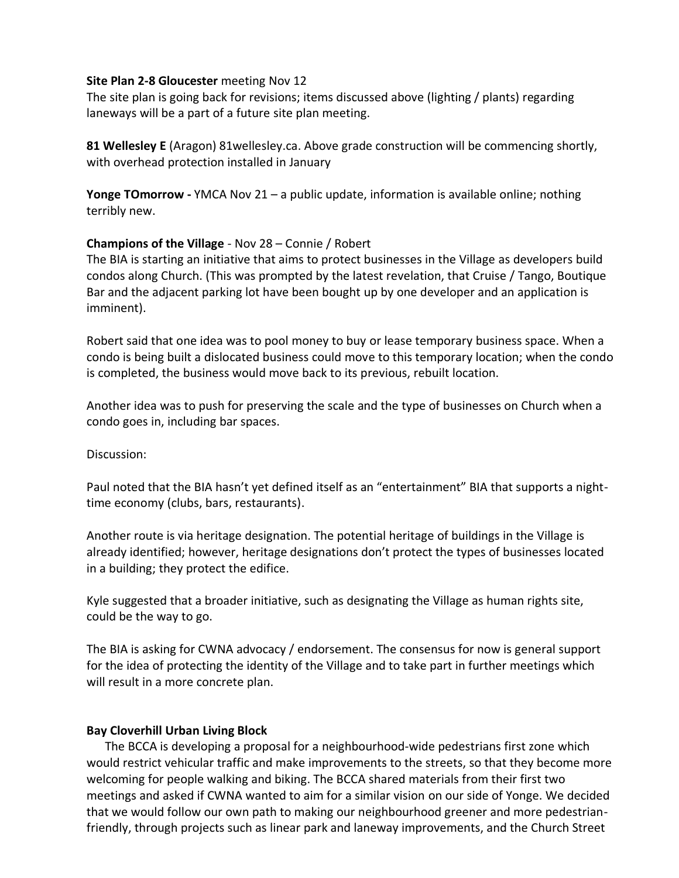#### **Site Plan 2-8 Gloucester** meeting Nov 12

The site plan is going back for revisions; items discussed above (lighting / plants) regarding laneways will be a part of a future site plan meeting.

**81 Wellesley E** (Aragon) 81wellesley.ca. Above grade construction will be commencing shortly, with overhead protection installed in January

**Yonge TOmorrow -** YMCA Nov 21 – a public update, information is available online; nothing terribly new.

### **Champions of the Village** - Nov 28 – Connie / Robert

The BIA is starting an initiative that aims to protect businesses in the Village as developers build condos along Church. (This was prompted by the latest revelation, that Cruise / Tango, Boutique Bar and the adjacent parking lot have been bought up by one developer and an application is imminent).

Robert said that one idea was to pool money to buy or lease temporary business space. When a condo is being built a dislocated business could move to this temporary location; when the condo is completed, the business would move back to its previous, rebuilt location.

Another idea was to push for preserving the scale and the type of businesses on Church when a condo goes in, including bar spaces.

### Discussion:

Paul noted that the BIA hasn't yet defined itself as an "entertainment" BIA that supports a nighttime economy (clubs, bars, restaurants).

Another route is via heritage designation. The potential heritage of buildings in the Village is already identified; however, heritage designations don't protect the types of businesses located in a building; they protect the edifice.

Kyle suggested that a broader initiative, such as designating the Village as human rights site, could be the way to go.

The BIA is asking for CWNA advocacy / endorsement. The consensus for now is general support for the idea of protecting the identity of the Village and to take part in further meetings which will result in a more concrete plan.

### **Bay Cloverhill Urban Living Block**

 The BCCA is developing a proposal for a neighbourhood-wide pedestrians first zone which would restrict vehicular traffic and make improvements to the streets, so that they become more welcoming for people walking and biking. The BCCA shared materials from their first two meetings and asked if CWNA wanted to aim for a similar vision on our side of Yonge. We decided that we would follow our own path to making our neighbourhood greener and more pedestrianfriendly, through projects such as linear park and laneway improvements, and the Church Street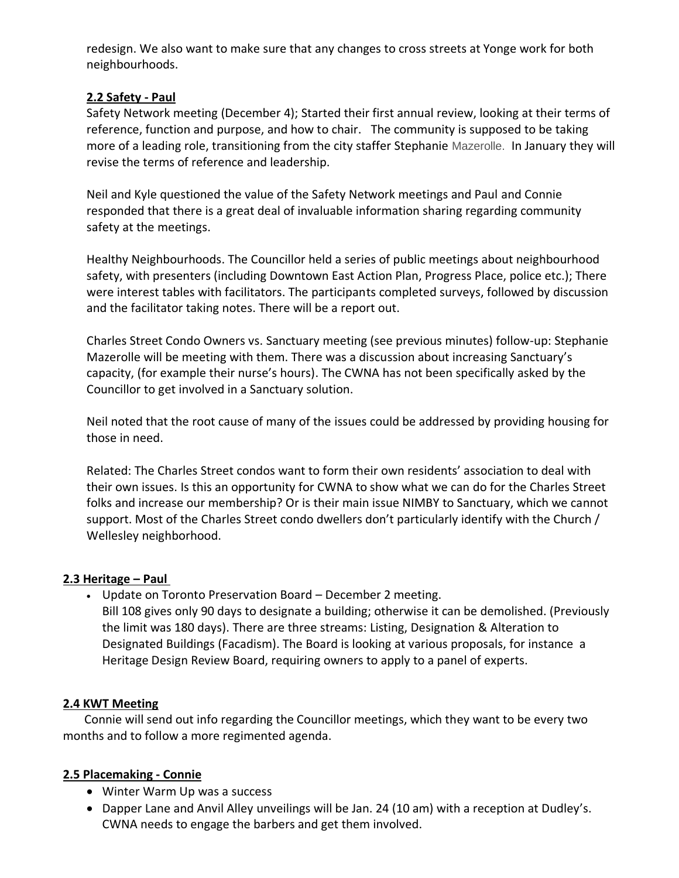redesign. We also want to make sure that any changes to cross streets at Yonge work for both neighbourhoods.

### **2.2 Safety - Paul**

Safety Network meeting (December 4); Started their first annual review, looking at their terms of reference, function and purpose, and how to chair. The community is supposed to be taking more of a leading role, transitioning from the city staffer Stephanie Mazerolle. In January they will revise the terms of reference and leadership.

Neil and Kyle questioned the value of the Safety Network meetings and Paul and Connie responded that there is a great deal of invaluable information sharing regarding community safety at the meetings.

Healthy Neighbourhoods. The Councillor held a series of public meetings about neighbourhood safety, with presenters (including Downtown East Action Plan, Progress Place, police etc.); There were interest tables with facilitators. The participants completed surveys, followed by discussion and the facilitator taking notes. There will be a report out.

Charles Street Condo Owners vs. Sanctuary meeting (see previous minutes) follow-up: Stephanie Mazerolle will be meeting with them. There was a discussion about increasing Sanctuary's capacity, (for example their nurse's hours). The CWNA has not been specifically asked by the Councillor to get involved in a Sanctuary solution.

Neil noted that the root cause of many of the issues could be addressed by providing housing for those in need.

Related: The Charles Street condos want to form their own residents' association to deal with their own issues. Is this an opportunity for CWNA to show what we can do for the Charles Street folks and increase our membership? Or is their main issue NIMBY to Sanctuary, which we cannot support. Most of the Charles Street condo dwellers don't particularly identify with the Church / Wellesley neighborhood.

### **2.3 Heritage – Paul**

- Update on Toronto Preservation Board December 2 meeting.
- Bill 108 gives only 90 days to designate a building; otherwise it can be demolished. (Previously the limit was 180 days). There are three streams: Listing, Designation & Alteration to Designated Buildings (Facadism). The Board is looking at various proposals, for instance a Heritage Design Review Board, requiring owners to apply to a panel of experts.

# **2.4 KWT Meeting**

 Connie will send out info regarding the Councillor meetings, which they want to be every two months and to follow a more regimented agenda.

# **2.5 Placemaking - Connie**

- Winter Warm Up was a success
- Dapper Lane and Anvil Alley unveilings will be Jan. 24 (10 am) with a reception at Dudley's. CWNA needs to engage the barbers and get them involved.